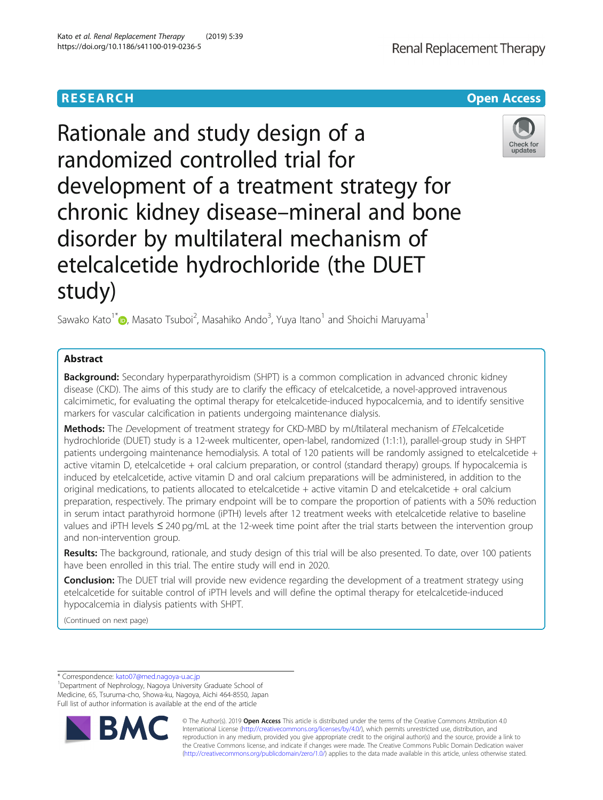# **RESEARCH CHE Open Access**

Check for updates

# Rationale and study design of a randomized controlled trial for development of a treatment strategy for chronic kidney disease–mineral and bone disorder by multilateral mechanism of etelcalcetide hydrochloride (the DUET study)



Sawako Kato $^{\rm 1*}$  (D[,](http://orcid.org/0000-0001-7210-1888) Masato Tsuboi $^{\rm 2}$ , Masahiko Ando $^{\rm 3}$ , Yuya Itano $^{\rm 1}$  and Shoichi Maruyama $^{\rm 1}$ 

# Abstract

**Background:** Secondary hyperparathyroidism (SHPT) is a common complication in advanced chronic kidney disease (CKD). The aims of this study are to clarify the efficacy of etelcalcetide, a novel-approved intravenous calcimimetic, for evaluating the optimal therapy for etelcalcetide-induced hypocalcemia, and to identify sensitive markers for vascular calcification in patients undergoing maintenance dialysis.

Methods: The Development of treatment strategy for CKD-MBD by mUltilateral mechanism of ETelcalcetide hydrochloride (DUET) study is a 12-week multicenter, open-label, randomized (1:1:1), parallel-group study in SHPT patients undergoing maintenance hemodialysis. A total of 120 patients will be randomly assigned to etelcalcetide + active vitamin D, etelcalcetide + oral calcium preparation, or control (standard therapy) groups. If hypocalcemia is induced by etelcalcetide, active vitamin D and oral calcium preparations will be administered, in addition to the original medications, to patients allocated to etelcalcetide + active vitamin D and etelcalcetide + oral calcium preparation, respectively. The primary endpoint will be to compare the proportion of patients with a 50% reduction in serum intact parathyroid hormone (iPTH) levels after 12 treatment weeks with etelcalcetide relative to baseline values and iPTH levels ≤ 240 pg/mL at the 12-week time point after the trial starts between the intervention group and non-intervention group.

Results: The background, rationale, and study design of this trial will be also presented. To date, over 100 patients have been enrolled in this trial. The entire study will end in 2020.

**Conclusion:** The DUET trial will provide new evidence regarding the development of a treatment strategy using etelcalcetide for suitable control of iPTH levels and will define the optimal therapy for etelcalcetide-induced hypocalcemia in dialysis patients with SHPT.

(Continued on next page)

\* Correspondence: [kato07@med.nagoya-u.ac.jp](mailto:kato07@med.nagoya-u.ac.jp) <sup>1</sup>

<sup>1</sup>Department of Nephrology, Nagoya University Graduate School of Medicine, 65, Tsuruma-cho, Showa-ku, Nagoya, Aichi 464-8550, Japan Full list of author information is available at the end of the article



© The Author(s). 2019 **Open Access** This article is distributed under the terms of the Creative Commons Attribution 4.0 International License [\(http://creativecommons.org/licenses/by/4.0/](http://creativecommons.org/licenses/by/4.0/)), which permits unrestricted use, distribution, and reproduction in any medium, provided you give appropriate credit to the original author(s) and the source, provide a link to the Creative Commons license, and indicate if changes were made. The Creative Commons Public Domain Dedication waiver [\(http://creativecommons.org/publicdomain/zero/1.0/](http://creativecommons.org/publicdomain/zero/1.0/)) applies to the data made available in this article, unless otherwise stated.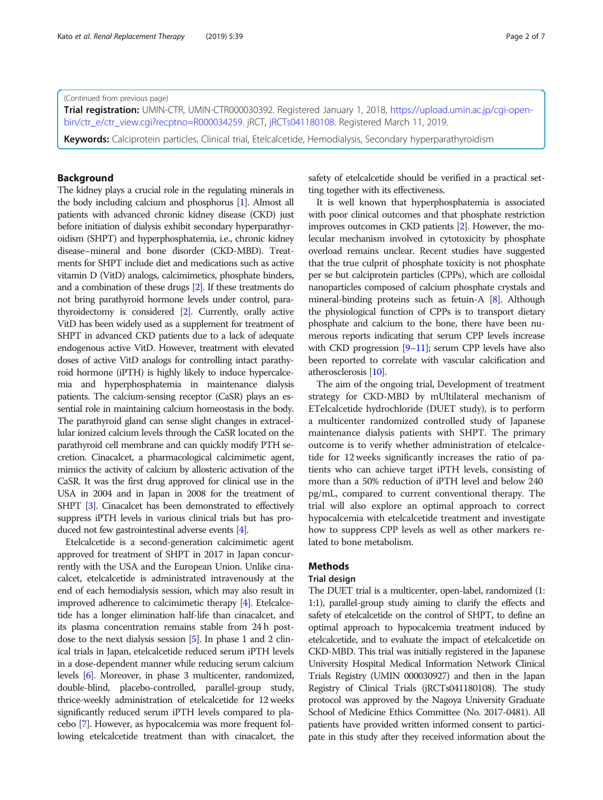(Continued from previous page)

Trial registration: UMIN-CTR, UMIN-CTR000030392. Registered January 1, 2018, [https://upload.umin.ac.jp/cgi-open](https://upload.umin.ac.jp/cgi-open-bin/ctr_e/ctr_view.cgi?recptno=R000034259)[bin/ctr\\_e/ctr\\_view.cgi?recptno=R000034259.](https://upload.umin.ac.jp/cgi-open-bin/ctr_e/ctr_view.cgi?recptno=R000034259) jRCT, [jRCTs041180108](https://jrct.niph.go.jp/en-latest-detail/jRCTs041180108). Registered March 11, 2019.

Keywords: Calciprotein particles, Clinical trial, Etelcalcetide, Hemodialysis, Secondary hyperparathyroidism

# Background

The kidney plays a crucial role in the regulating minerals in the body including calcium and phosphorus [\[1\]](#page-5-0). Almost all patients with advanced chronic kidney disease (CKD) just before initiation of dialysis exhibit secondary hyperparathyroidism (SHPT) and hyperphosphatemia, i.e., chronic kidney disease–mineral and bone disorder (CKD-MBD). Treatments for SHPT include diet and medications such as active vitamin D (VitD) analogs, calcimimetics, phosphate binders, and a combination of these drugs [[2](#page-5-0)]. If these treatments do not bring parathyroid hormone levels under control, parathyroidectomy is considered [\[2\]](#page-5-0). Currently, orally active VitD has been widely used as a supplement for treatment of SHPT in advanced CKD patients due to a lack of adequate endogenous active VitD. However, treatment with elevated doses of active VitD analogs for controlling intact parathyroid hormone (iPTH) is highly likely to induce hypercalcemia and hyperphosphatemia in maintenance dialysis patients. The calcium-sensing receptor (CaSR) plays an essential role in maintaining calcium homeostasis in the body. The parathyroid gland can sense slight changes in extracellular ionized calcium levels through the CaSR located on the parathyroid cell membrane and can quickly modify PTH secretion. Cinacalcet, a pharmacological calcimimetic agent, mimics the activity of calcium by allosteric activation of the CaSR. It was the first drug approved for clinical use in the USA in 2004 and in Japan in 2008 for the treatment of SHPT [\[3\]](#page-5-0). Cinacalcet has been demonstrated to effectively suppress iPTH levels in various clinical trials but has produced not few gastrointestinal adverse events [\[4\]](#page-5-0).

Etelcalcetide is a second-generation calcimimetic agent approved for treatment of SHPT in 2017 in Japan concurrently with the USA and the European Union. Unlike cinacalcet, etelcalcetide is administrated intravenously at the end of each hemodialysis session, which may also result in improved adherence to calcimimetic therapy [\[4\]](#page-5-0). Etelcalcetide has a longer elimination half-life than cinacalcet, and its plasma concentration remains stable from 24 h postdose to the next dialysis session [\[5](#page-5-0)]. In phase 1 and 2 clinical trials in Japan, etelcalcetide reduced serum iPTH levels in a dose-dependent manner while reducing serum calcium levels [\[6\]](#page-5-0). Moreover, in phase 3 multicenter, randomized, double-blind, placebo-controlled, parallel-group study, thrice-weekly administration of etelcalcetide for 12 weeks significantly reduced serum iPTH levels compared to placebo [\[7\]](#page-5-0). However, as hypocalcemia was more frequent following etelcalcetide treatment than with cinacalcet, the safety of etelcalcetide should be verified in a practical setting together with its effectiveness.

It is well known that hyperphosphatemia is associated with poor clinical outcomes and that phosphate restriction improves outcomes in CKD patients [\[2\]](#page-5-0). However, the molecular mechanism involved in cytotoxicity by phosphate overload remains unclear. Recent studies have suggested that the true culprit of phosphate toxicity is not phosphate per se but calciprotein particles (CPPs), which are colloidal nanoparticles composed of calcium phosphate crystals and mineral-binding proteins such as fetuin-A [[8](#page-5-0)]. Although the physiological function of CPPs is to transport dietary phosphate and calcium to the bone, there have been numerous reports indicating that serum CPP levels increase with CKD progression [\[9](#page-5-0)–[11](#page-5-0)]; serum CPP levels have also been reported to correlate with vascular calcification and atherosclerosis [[10](#page-5-0)].

The aim of the ongoing trial, Development of treatment strategy for CKD-MBD by mUltilateral mechanism of ETelcalcetide hydrochloride (DUET study), is to perform a multicenter randomized controlled study of Japanese maintenance dialysis patients with SHPT. The primary outcome is to verify whether administration of etelcalcetide for 12 weeks significantly increases the ratio of patients who can achieve target iPTH levels, consisting of more than a 50% reduction of iPTH level and below 240 pg/mL, compared to current conventional therapy. The trial will also explore an optimal approach to correct hypocalcemia with etelcalcetide treatment and investigate how to suppress CPP levels as well as other markers related to bone metabolism.

# Methods

# Trial design

The DUET trial is a multicenter, open-label, randomized (1: 1:1), parallel-group study aiming to clarify the effects and safety of etelcalcetide on the control of SHPT, to define an optimal approach to hypocalcemia treatment induced by etelcalcetide, and to evaluate the impact of etelcalcetide on CKD-MBD. This trial was initially registered in the Japanese University Hospital Medical Information Network Clinical Trials Registry (UMIN 000030927) and then in the Japan Registry of Clinical Trials (jRCTs041180108). The study protocol was approved by the Nagoya University Graduate School of Medicine Ethics Committee (No. 2017-0481). All patients have provided written informed consent to participate in this study after they received information about the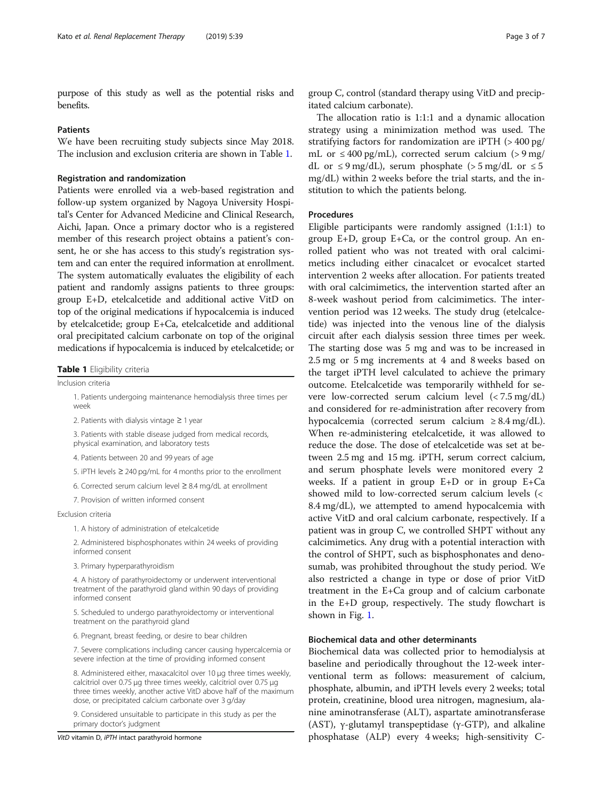purpose of this study as well as the potential risks and benefits.

# Patients

We have been recruiting study subjects since May 2018. The inclusion and exclusion criteria are shown in Table 1.

## Registration and randomization

Patients were enrolled via a web-based registration and follow-up system organized by Nagoya University Hospital's Center for Advanced Medicine and Clinical Research, Aichi, Japan. Once a primary doctor who is a registered member of this research project obtains a patient's consent, he or she has access to this study's registration system and can enter the required information at enrollment. The system automatically evaluates the eligibility of each patient and randomly assigns patients to three groups: group E+D, etelcalcetide and additional active VitD on top of the original medications if hypocalcemia is induced by etelcalcetide; group E+Ca, etelcalcetide and additional oral precipitated calcium carbonate on top of the original medications if hypocalcemia is induced by etelcalcetide; or

Table 1 Eligibility criteria

Inclusion criteria

- 1. Patients undergoing maintenance hemodialysis three times per week
- 2. Patients with dialysis vintage ≥ 1 year
- 3. Patients with stable disease judged from medical records, physical examination, and laboratory tests
- 4. Patients between 20 and 99 years of age
- 5. iPTH levels ≥ 240 pg/mL for 4 months prior to the enrollment
- 6. Corrected serum calcium level ≥ 8.4 mg/dL at enrollment
- 7. Provision of written informed consent

Exclusion criteria

1. A history of administration of etelcalcetide

2. Administered bisphosphonates within 24 weeks of providing informed consent

3. Primary hyperparathyroidism

4. A history of parathyroidectomy or underwent interventional treatment of the parathyroid gland within 90 days of providing informed consent

5. Scheduled to undergo parathyroidectomy or interventional treatment on the parathyroid gland

6. Pregnant, breast feeding, or desire to bear children

7. Severe complications including cancer causing hypercalcemia or severe infection at the time of providing informed consent

8. Administered either, maxacalcitol over 10 μg three times weekly, calcitriol over 0.75 μg three times weekly, calcitriol over 0.75 μg three times weekly, another active VitD above half of the maximum dose, or precipitated calcium carbonate over 3 g/day

9. Considered unsuitable to participate in this study as per the primary doctor's judgment

VitD vitamin D, iPTH intact parathyroid hormone

group C, control (standard therapy using VitD and precipitated calcium carbonate).

The allocation ratio is 1:1:1 and a dynamic allocation strategy using a minimization method was used. The stratifying factors for randomization are iPTH (> 400 pg/ mL or  $\leq 400 \text{ pg/mL}$ , corrected serum calcium (> 9 mg/ dL or  $\leq$  9 mg/dL), serum phosphate (> 5 mg/dL or  $\leq$  5 mg/dL) within 2 weeks before the trial starts, and the institution to which the patients belong.

# Procedures

Eligible participants were randomly assigned (1:1:1) to group E+D, group E+Ca, or the control group. An enrolled patient who was not treated with oral calcimimetics including either cinacalcet or evocalcet started intervention 2 weeks after allocation. For patients treated with oral calcimimetics, the intervention started after an 8-week washout period from calcimimetics. The intervention period was 12 weeks. The study drug (etelcalcetide) was injected into the venous line of the dialysis circuit after each dialysis session three times per week. The starting dose was 5 mg and was to be increased in 2.5 mg or 5 mg increments at 4 and 8 weeks based on the target iPTH level calculated to achieve the primary outcome. Etelcalcetide was temporarily withheld for severe low-corrected serum calcium level (< 7.5 mg/dL) and considered for re-administration after recovery from hypocalcemia (corrected serum calcium  $\geq 8.4$  mg/dL). When re-administering etelcalcetide, it was allowed to reduce the dose. The dose of etelcalcetide was set at between 2.5 mg and 15 mg. iPTH, serum correct calcium, and serum phosphate levels were monitored every 2 weeks. If a patient in group E+D or in group E+Ca showed mild to low-corrected serum calcium levels (< 8.4 mg/dL), we attempted to amend hypocalcemia with active VitD and oral calcium carbonate, respectively. If a patient was in group C, we controlled SHPT without any calcimimetics. Any drug with a potential interaction with the control of SHPT, such as bisphosphonates and denosumab, was prohibited throughout the study period. We also restricted a change in type or dose of prior VitD treatment in the E+Ca group and of calcium carbonate in the E+D group, respectively. The study flowchart is shown in Fig. [1](#page-3-0).

# Biochemical data and other determinants

Biochemical data was collected prior to hemodialysis at baseline and periodically throughout the 12-week interventional term as follows: measurement of calcium, phosphate, albumin, and iPTH levels every 2 weeks; total protein, creatinine, blood urea nitrogen, magnesium, alanine aminotransferase (ALT), aspartate aminotransferase (AST), γ-glutamyl transpeptidase (γ-GTP), and alkaline phosphatase (ALP) every 4 weeks; high-sensitivity C-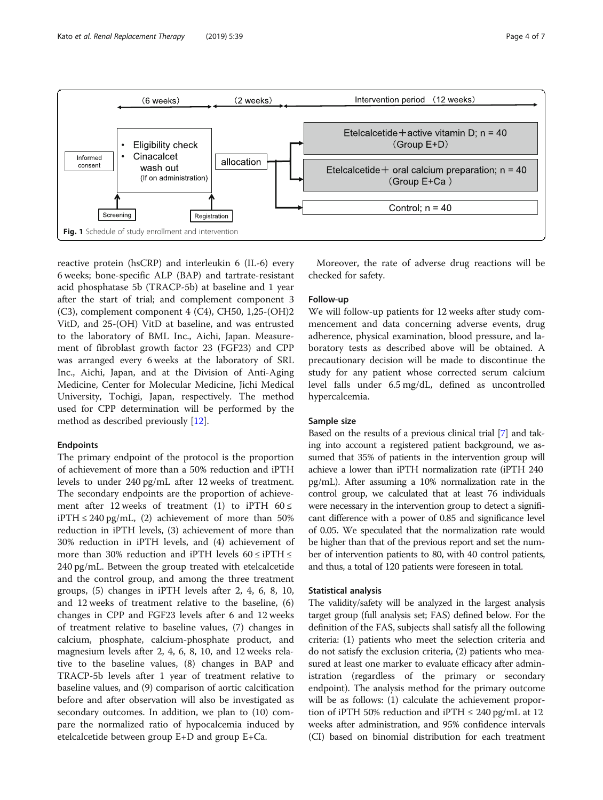<span id="page-3-0"></span>

reactive protein (hsCRP) and interleukin 6 (IL-6) every 6 weeks; bone-specific ALP (BAP) and tartrate-resistant acid phosphatase 5b (TRACP-5b) at baseline and 1 year after the start of trial; and complement component 3  $(C3)$ , complement component 4  $(C4)$ , CH50, 1,25- $(OH)2$ VitD, and 25-(OH) VitD at baseline, and was entrusted to the laboratory of BML Inc., Aichi, Japan. Measurement of fibroblast growth factor 23 (FGF23) and CPP was arranged every 6 weeks at the laboratory of SRL Inc., Aichi, Japan, and at the Division of Anti-Aging Medicine, Center for Molecular Medicine, Jichi Medical University, Tochigi, Japan, respectively. The method used for CPP determination will be performed by the method as described previously [\[12](#page-6-0)].

# Endpoints

The primary endpoint of the protocol is the proportion of achievement of more than a 50% reduction and iPTH levels to under 240 pg/mL after 12 weeks of treatment. The secondary endpoints are the proportion of achievement after 12 weeks of treatment (1) to iPTH  $60 \le$ iPTH  $\leq$  240 pg/mL, (2) achievement of more than 50% reduction in iPTH levels, (3) achievement of more than 30% reduction in iPTH levels, and (4) achievement of more than 30% reduction and iPTH levels  $60 \le i$ PTH  $\le$ 240 pg/mL. Between the group treated with etelcalcetide and the control group, and among the three treatment groups, (5) changes in iPTH levels after 2, 4, 6, 8, 10, and 12 weeks of treatment relative to the baseline, (6) changes in CPP and FGF23 levels after 6 and 12 weeks of treatment relative to baseline values, (7) changes in calcium, phosphate, calcium-phosphate product, and magnesium levels after 2, 4, 6, 8, 10, and 12 weeks relative to the baseline values, (8) changes in BAP and TRACP-5b levels after 1 year of treatment relative to baseline values, and (9) comparison of aortic calcification before and after observation will also be investigated as secondary outcomes. In addition, we plan to (10) compare the normalized ratio of hypocalcemia induced by etelcalcetide between group E+D and group E+Ca.

Moreover, the rate of adverse drug reactions will be checked for safety.

# Follow-up

We will follow-up patients for 12 weeks after study commencement and data concerning adverse events, drug adherence, physical examination, blood pressure, and laboratory tests as described above will be obtained. A precautionary decision will be made to discontinue the study for any patient whose corrected serum calcium level falls under 6.5 mg/dL, defined as uncontrolled hypercalcemia.

# Sample size

Based on the results of a previous clinical trial [[7](#page-5-0)] and taking into account a registered patient background, we assumed that 35% of patients in the intervention group will achieve a lower than iPTH normalization rate (iPTH 240 pg/mL). After assuming a 10% normalization rate in the control group, we calculated that at least 76 individuals were necessary in the intervention group to detect a significant difference with a power of 0.85 and significance level of 0.05. We speculated that the normalization rate would be higher than that of the previous report and set the number of intervention patients to 80, with 40 control patients, and thus, a total of 120 patients were foreseen in total.

# Statistical analysis

The validity/safety will be analyzed in the largest analysis target group (full analysis set; FAS) defined below. For the definition of the FAS, subjects shall satisfy all the following criteria: (1) patients who meet the selection criteria and do not satisfy the exclusion criteria, (2) patients who measured at least one marker to evaluate efficacy after administration (regardless of the primary or secondary endpoint). The analysis method for the primary outcome will be as follows: (1) calculate the achievement proportion of iPTH 50% reduction and iPTH  $\leq$  240 pg/mL at 12 weeks after administration, and 95% confidence intervals (CI) based on binomial distribution for each treatment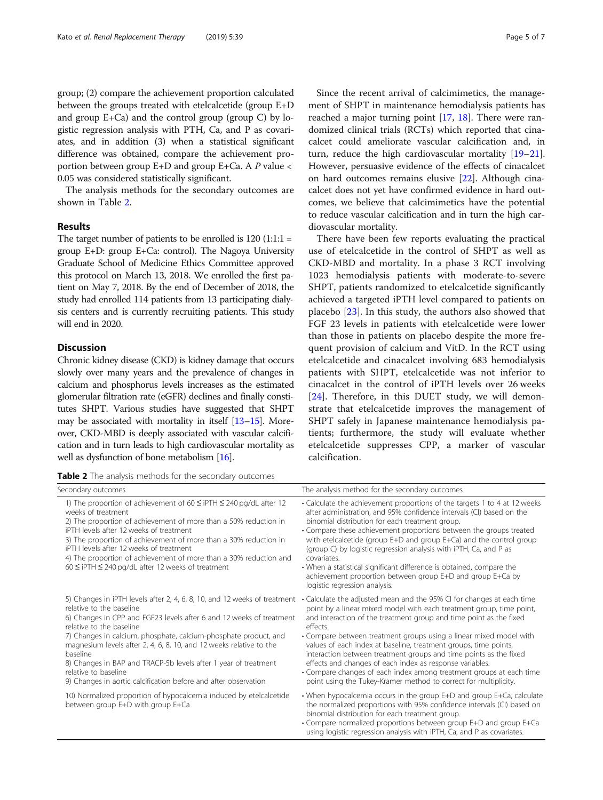group; (2) compare the achievement proportion calculated between the groups treated with etelcalcetide (group E+D and group  $E+Ca$ ) and the control group (group C) by logistic regression analysis with PTH, Ca, and P as covariates, and in addition (3) when a statistical significant difference was obtained, compare the achievement proportion between group E+D and group E+Ca. A P value < 0.05 was considered statistically significant.

The analysis methods for the secondary outcomes are shown in Table 2.

# Results

The target number of patients to be enrolled is  $120$  (1:1:1 = group E+D: group E+Ca: control). The Nagoya University Graduate School of Medicine Ethics Committee approved this protocol on March 13, 2018. We enrolled the first patient on May 7, 2018. By the end of December of 2018, the study had enrolled 114 patients from 13 participating dialysis centers and is currently recruiting patients. This study will end in 2020.

# **Discussion**

Chronic kidney disease (CKD) is kidney damage that occurs slowly over many years and the prevalence of changes in calcium and phosphorus levels increases as the estimated glomerular filtration rate (eGFR) declines and finally constitutes SHPT. Various studies have suggested that SHPT may be associated with mortality in itself [[13](#page-6-0)–[15](#page-6-0)]. Moreover, CKD-MBD is deeply associated with vascular calcification and in turn leads to high cardiovascular mortality as well as dysfunction of bone metabolism [\[16](#page-6-0)].

Table 2 The analysis methods for the secondary outcomes

Since the recent arrival of calcimimetics, the management of SHPT in maintenance hemodialysis patients has reached a major turning point [[17,](#page-6-0) [18](#page-6-0)]. There were randomized clinical trials (RCTs) which reported that cinacalcet could ameliorate vascular calcification and, in turn, reduce the high cardiovascular mortality  $[19-21]$  $[19-21]$  $[19-21]$  $[19-21]$  $[19-21]$ . However, persuasive evidence of the effects of cinacalcet on hard outcomes remains elusive [[22](#page-6-0)]. Although cinacalcet does not yet have confirmed evidence in hard outcomes, we believe that calcimimetics have the potential to reduce vascular calcification and in turn the high cardiovascular mortality.

There have been few reports evaluating the practical use of etelcalcetide in the control of SHPT as well as CKD-MBD and mortality. In a phase 3 RCT involving 1023 hemodialysis patients with moderate-to-severe SHPT, patients randomized to etelcalcetide significantly achieved a targeted iPTH level compared to patients on placebo [[23\]](#page-6-0). In this study, the authors also showed that FGF 23 levels in patients with etelcalcetide were lower than those in patients on placebo despite the more frequent provision of calcium and VitD. In the RCT using etelcalcetide and cinacalcet involving 683 hemodialysis patients with SHPT, etelcalcetide was not inferior to cinacalcet in the control of iPTH levels over 26 weeks [[24\]](#page-6-0). Therefore, in this DUET study, we will demonstrate that etelcalcetide improves the management of SHPT safely in Japanese maintenance hemodialysis patients; furthermore, the study will evaluate whether etelcalcetide suppresses CPP, a marker of vascular calcification.

| Secondary outcomes                                                                                                                                                                                                                                                                                                                                                                                                                                                                                                             | The analysis method for the secondary outcomes                                                                                                                                                                                                                                                                                                                                                                                                                                                                                                                                                                                                        |
|--------------------------------------------------------------------------------------------------------------------------------------------------------------------------------------------------------------------------------------------------------------------------------------------------------------------------------------------------------------------------------------------------------------------------------------------------------------------------------------------------------------------------------|-------------------------------------------------------------------------------------------------------------------------------------------------------------------------------------------------------------------------------------------------------------------------------------------------------------------------------------------------------------------------------------------------------------------------------------------------------------------------------------------------------------------------------------------------------------------------------------------------------------------------------------------------------|
| 1) The proportion of achievement of $60 \le$ iPTH $\le$ 240 pg/dL after 12<br>weeks of treatment<br>2) The proportion of achievement of more than a 50% reduction in<br>iPTH levels after 12 weeks of treatment<br>3) The proportion of achievement of more than a 30% reduction in<br>iPTH levels after 12 weeks of treatment<br>4) The proportion of achievement of more than a 30% reduction and<br>$60 \le$ iPTH $\le$ 240 pg/dL after 12 weeks of treatment                                                               | • Calculate the achievement proportions of the targets 1 to 4 at 12 weeks<br>after administration, and 95% confidence intervals (CI) based on the<br>binomial distribution for each treatment group.<br>• Compare these achievement proportions between the groups treated<br>with etelcalcetide (group $E+D$ and group $E+Ca$ ) and the control group<br>(group C) by logistic regression analysis with iPTH, Ca, and P as<br>covariates.<br>• When a statistical significant difference is obtained, compare the<br>achievement proportion between group E+D and group E+Ca by<br>logistic regression analysis.                                     |
| 5) Changes in iPTH levels after 2, 4, 6, 8, 10, and 12 weeks of treatment<br>relative to the baseline<br>6) Changes in CPP and FGF23 levels after 6 and 12 weeks of treatment<br>relative to the baseline<br>7) Changes in calcium, phosphate, calcium-phosphate product, and<br>magnesium levels after 2, 4, 6, 8, 10, and 12 weeks relative to the<br>baseline<br>8) Changes in BAP and TRACP-5b levels after 1 year of treatment<br>relative to baseline<br>9) Changes in aortic calcification before and after observation | • Calculate the adjusted mean and the 95% CI for changes at each time<br>point by a linear mixed model with each treatment group, time point,<br>and interaction of the treatment group and time point as the fixed<br>effects.<br>• Compare between treatment groups using a linear mixed model with<br>values of each index at baseline, treatment groups, time points,<br>interaction between treatment groups and time points as the fixed<br>effects and changes of each index as response variables.<br>• Compare changes of each index among treatment groups at each time<br>point using the Tukey-Kramer method to correct for multiplicity. |
| 10) Normalized proportion of hypocalcemia induced by etelcalcetide<br>between group E+D with group E+Ca                                                                                                                                                                                                                                                                                                                                                                                                                        | • When hypocalcemia occurs in the group E+D and group E+Ca, calculate<br>the normalized proportions with 95% confidence intervals (CI) based on<br>binomial distribution for each treatment group.<br>• Compare normalized proportions between group E+D and group E+Ca<br>using logistic regression analysis with iPTH, Ca, and P as covariates.                                                                                                                                                                                                                                                                                                     |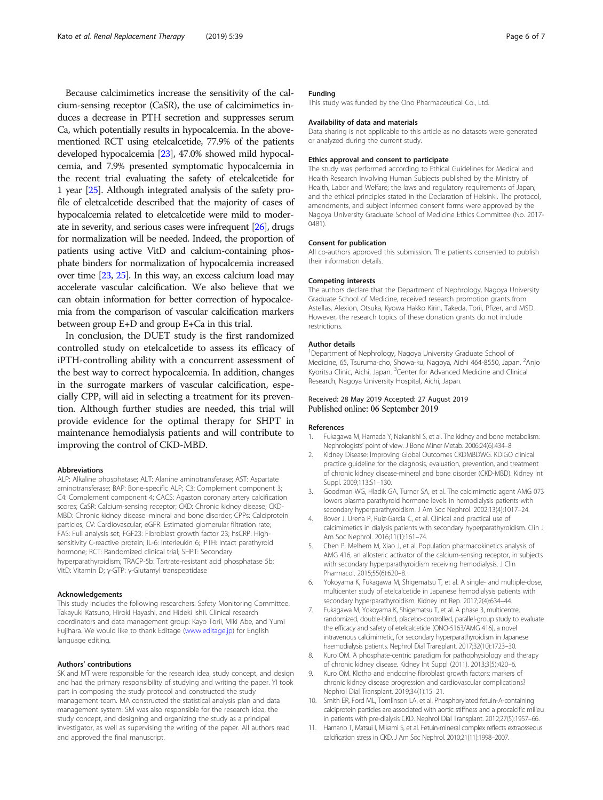<span id="page-5-0"></span>Because calcimimetics increase the sensitivity of the calcium-sensing receptor (CaSR), the use of calcimimetics induces a decrease in PTH secretion and suppresses serum Ca, which potentially results in hypocalcemia. In the abovementioned RCT using etelcalcetide, 77.9% of the patients developed hypocalcemia [[23](#page-6-0)], 47.0% showed mild hypocalcemia, and 7.9% presented symptomatic hypocalcemia in the recent trial evaluating the safety of etelcalcetide for 1 year [\[25\]](#page-6-0). Although integrated analysis of the safety profile of eletcalcetide described that the majority of cases of hypocalcemia related to eletcalcetide were mild to moderate in severity, and serious cases were infrequent [[26](#page-6-0)], drugs for normalization will be needed. Indeed, the proportion of patients using active VitD and calcium-containing phosphate binders for normalization of hypocalcemia increased over time [\[23,](#page-6-0) [25](#page-6-0)]. In this way, an excess calcium load may accelerate vascular calcification. We also believe that we can obtain information for better correction of hypocalcemia from the comparison of vascular calcification markers between group E+D and group E+Ca in this trial.

In conclusion, the DUET study is the first randomized controlled study on etelcalcetide to assess its efficacy of iPTH-controlling ability with a concurrent assessment of the best way to correct hypocalcemia. In addition, changes in the surrogate markers of vascular calcification, especially CPP, will aid in selecting a treatment for its prevention. Although further studies are needed, this trial will provide evidence for the optimal therapy for SHPT in maintenance hemodialysis patients and will contribute to improving the control of CKD-MBD.

#### Abbreviations

ALP: Alkaline phosphatase; ALT: Alanine aminotransferase; AST: Aspartate aminotransferase; BAP: Bone-specific ALP; C3: Complement component 3; C4: Complement component 4; CACS: Agaston coronary artery calcification scores; CaSR: Calcium-sensing receptor; CKD: Chronic kidney disease; CKD-MBD: Chronic kidney disease–mineral and bone disorder; CPPs: Calciprotein particles; CV: Cardiovascular; eGFR: Estimated glomerular filtration rate; FAS: Full analysis set; FGF23: Fibroblast growth factor 23; hsCRP: Highsensitivity C-reactive protein; IL-6: Interleukin 6; iPTH: Intact parathyroid hormone; RCT: Randomized clinical trial; SHPT: Secondary hyperparathyroidism; TRACP-5b: Tartrate-resistant acid phosphatase 5b; VitD: Vitamin D; γ-GTP: γ-Glutamyl transpeptidase

#### Acknowledgements

This study includes the following researchers: Safety Monitoring Committee, Takayuki Katsuno, Hiroki Hayashi, and Hideki Ishii. Clinical research coordinators and data management group: Kayo Torii, Miki Abe, and Yumi Fujihara. We would like to thank Editage ([www.editage.jp\)](http://www.editage.jp) for English language editing.

#### Authors' contributions

SK and MT were responsible for the research idea, study concept, and design and had the primary responsibility of studying and writing the paper. YI took part in composing the study protocol and constructed the study management team. MA constructed the statistical analysis plan and data management system. SM was also responsible for the research idea, the study concept, and designing and organizing the study as a principal investigator, as well as supervising the writing of the paper. All authors read and approved the final manuscript.

# Funding

This study was funded by the Ono Pharmaceutical Co., Ltd.

#### Availability of data and materials

Data sharing is not applicable to this article as no datasets were generated or analyzed during the current study.

#### Ethics approval and consent to participate

The study was performed according to Ethical Guidelines for Medical and Health Research Involving Human Subjects published by the Ministry of Health, Labor and Welfare; the laws and regulatory requirements of Japan; and the ethical principles stated in the Declaration of Helsinki. The protocol, amendments, and subject informed consent forms were approved by the Nagoya University Graduate School of Medicine Ethics Committee (No. 2017- 0481).

#### Consent for publication

All co-authors approved this submission. The patients consented to publish their information details.

#### Competing interests

The authors declare that the Department of Nephrology, Nagoya University Graduate School of Medicine, received research promotion grants from Astellas, Alexion, Otsuka, Kyowa Hakko Kirin, Takeda, Torii, Pfizer, and MSD. However, the research topics of these donation grants do not include restrictions.

#### Author details

<sup>1</sup>Department of Nephrology, Nagoya University Graduate School of Medicine, 65, Tsuruma-cho, Showa-ku, Nagoya, Aichi 464-8550, Japan. <sup>2</sup>Anjo Kyoritsu Clinic, Aichi, Japan. <sup>3</sup>Center for Advanced Medicine and Clinical Research, Nagoya University Hospital, Aichi, Japan.

# Received: 28 May 2019 Accepted: 27 August 2019<br>Published online: 06 September 2019

#### References

- 1. Fukagawa M, Hamada Y, Nakanishi S, et al. The kidney and bone metabolism: Nephrologists' point of view. J Bone Miner Metab. 2006;24(6):434–8.
- 2. Kidney Disease: Improving Global Outcomes CKDMBDWG. KDIGO clinical practice guideline for the diagnosis, evaluation, prevention, and treatment of chronic kidney disease-mineral and bone disorder (CKD-MBD). Kidney Int Suppl. 2009;113:S1–130.
- 3. Goodman WG, Hladik GA, Turner SA, et al. The calcimimetic agent AMG 073 lowers plasma parathyroid hormone levels in hemodialysis patients with secondary hyperparathyroidism. J Am Soc Nephrol. 2002;13(4):1017–24.
- 4. Bover J, Urena P, Ruiz-Garcia C, et al. Clinical and practical use of calcimimetics in dialysis patients with secondary hyperparathyroidism. Clin J Am Soc Nephrol. 2016;11(1):161–74.
- 5. Chen P, Melhem M, Xiao J, et al. Population pharmacokinetics analysis of AMG 416, an allosteric activator of the calcium-sensing receptor, in subjects with secondary hyperparathyroidism receiving hemodialysis. J Clin Pharmacol. 2015;55(6):620–8.
- 6. Yokoyama K, Fukagawa M, Shigematsu T, et al. A single- and multiple-dose, multicenter study of etelcalcetide in Japanese hemodialysis patients with secondary hyperparathyroidism. Kidney Int Rep. 2017;2(4):634–44.
- 7. Fukagawa M, Yokoyama K, Shigematsu T, et al. A phase 3, multicentre, randomized, double-blind, placebo-controlled, parallel-group study to evaluate the efficacy and safety of etelcalcetide (ONO-5163/AMG 416), a novel intravenous calcimimetic, for secondary hyperparathyroidism in Japanese haemodialysis patients. Nephrol Dial Transplant. 2017;32(10):1723–30.
- 8. Kuro OM. A phosphate-centric paradigm for pathophysiology and therapy of chronic kidney disease. Kidney Int Suppl (2011). 2013;3(5):420–6.
- 9. Kuro OM. Klotho and endocrine fibroblast growth factors: markers of chronic kidney disease progression and cardiovascular complications? Nephrol Dial Transplant. 2019;34(1):15–21.
- 10. Smith ER, Ford ML, Tomlinson LA, et al. Phosphorylated fetuin-A-containing calciprotein particles are associated with aortic stiffness and a procalcific milieu in patients with pre-dialysis CKD. Nephrol Dial Transplant. 2012;27(5):1957–66.
- 11. Hamano T, Matsui I, Mikami S, et al. Fetuin-mineral complex reflects extraosseous calcification stress in CKD. J Am Soc Nephrol. 2010;21(11):1998–2007.